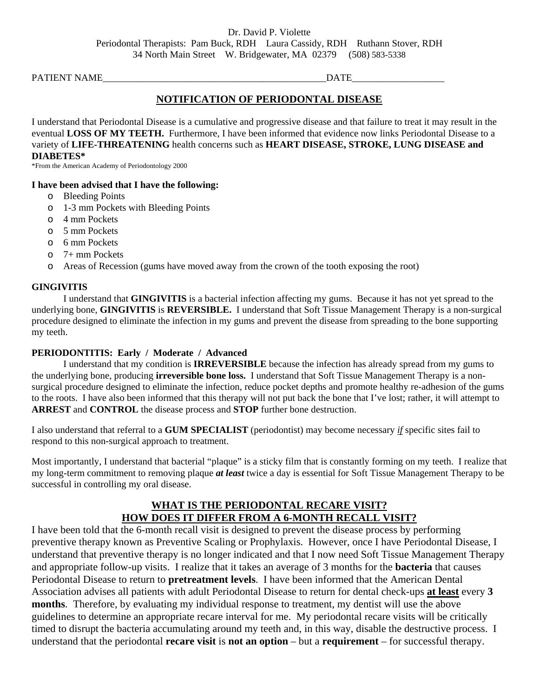PATIENT NAME\_\_\_\_\_\_\_\_\_\_\_\_\_\_\_\_\_\_\_\_\_\_\_\_\_\_\_\_\_\_\_\_\_\_\_\_\_\_\_\_\_\_\_\_\_\_DATE\_\_\_\_\_\_\_\_\_\_\_\_\_\_\_\_\_\_\_

# **NOTIFICATION OF PERIODONTAL DISEASE**

I understand that Periodontal Disease is a cumulative and progressive disease and that failure to treat it may result in the eventual **LOSS OF MY TEETH.** Furthermore, I have been informed that evidence now links Periodontal Disease to a variety of **LIFE-THREATENING** health concerns such as **HEART DISEASE, STROKE, LUNG DISEASE and DIABETES\*** 

\*From the American Academy of Periodontology 2000

## **I have been advised that I have the following:**

- o Bleeding Points
- o 1-3 mm Pockets with Bleeding Points
- o 4 mm Pockets
- o 5 mm Pockets
- o 6 mm Pockets
- o 7+ mm Pockets
- o Areas of Recession (gums have moved away from the crown of the tooth exposing the root)

#### **GINGIVITIS**

 I understand that **GINGIVITIS** is a bacterial infection affecting my gums. Because it has not yet spread to the underlying bone, **GINGIVITIS** is **REVERSIBLE.** I understand that Soft Tissue Management Therapy is a non-surgical procedure designed to eliminate the infection in my gums and prevent the disease from spreading to the bone supporting my teeth.

## **PERIODONTITIS: Early / Moderate / Advanced**

 I understand that my condition is **IRREVERSIBLE** because the infection has already spread from my gums to the underlying bone, producing **irreversible bone loss.** I understand that Soft Tissue Management Therapy is a nonsurgical procedure designed to eliminate the infection, reduce pocket depths and promote healthy re-adhesion of the gums to the roots. I have also been informed that this therapy will not put back the bone that I've lost; rather, it will attempt to **ARREST** and **CONTROL** the disease process and **STOP** further bone destruction.

I also understand that referral to a **GUM SPECIALIST** (periodontist) may become necessary *if* specific sites fail to respond to this non-surgical approach to treatment.

Most importantly, I understand that bacterial "plaque" is a sticky film that is constantly forming on my teeth. I realize that my long-term commitment to removing plaque *at least* twice a day is essential for Soft Tissue Management Therapy to be successful in controlling my oral disease.

# **WHAT IS THE PERIODONTAL RECARE VISIT? HOW DOES IT DIFFER FROM A 6-MONTH RECALL VISIT?**

I have been told that the 6-month recall visit is designed to prevent the disease process by performing preventive therapy known as Preventive Scaling or Prophylaxis. However, once I have Periodontal Disease, I understand that preventive therapy is no longer indicated and that I now need Soft Tissue Management Therapy and appropriate follow-up visits. I realize that it takes an average of 3 months for the **bacteria** that causes Periodontal Disease to return to **pretreatment levels**. I have been informed that the American Dental Association advises all patients with adult Periodontal Disease to return for dental check-ups **at least** every **3 months**. Therefore, by evaluating my individual response to treatment, my dentist will use the above guidelines to determine an appropriate recare interval for me. My periodontal recare visits will be critically timed to disrupt the bacteria accumulating around my teeth and, in this way, disable the destructive process. I understand that the periodontal **recare visit** is **not an option** – but a **requirement** – for successful therapy.